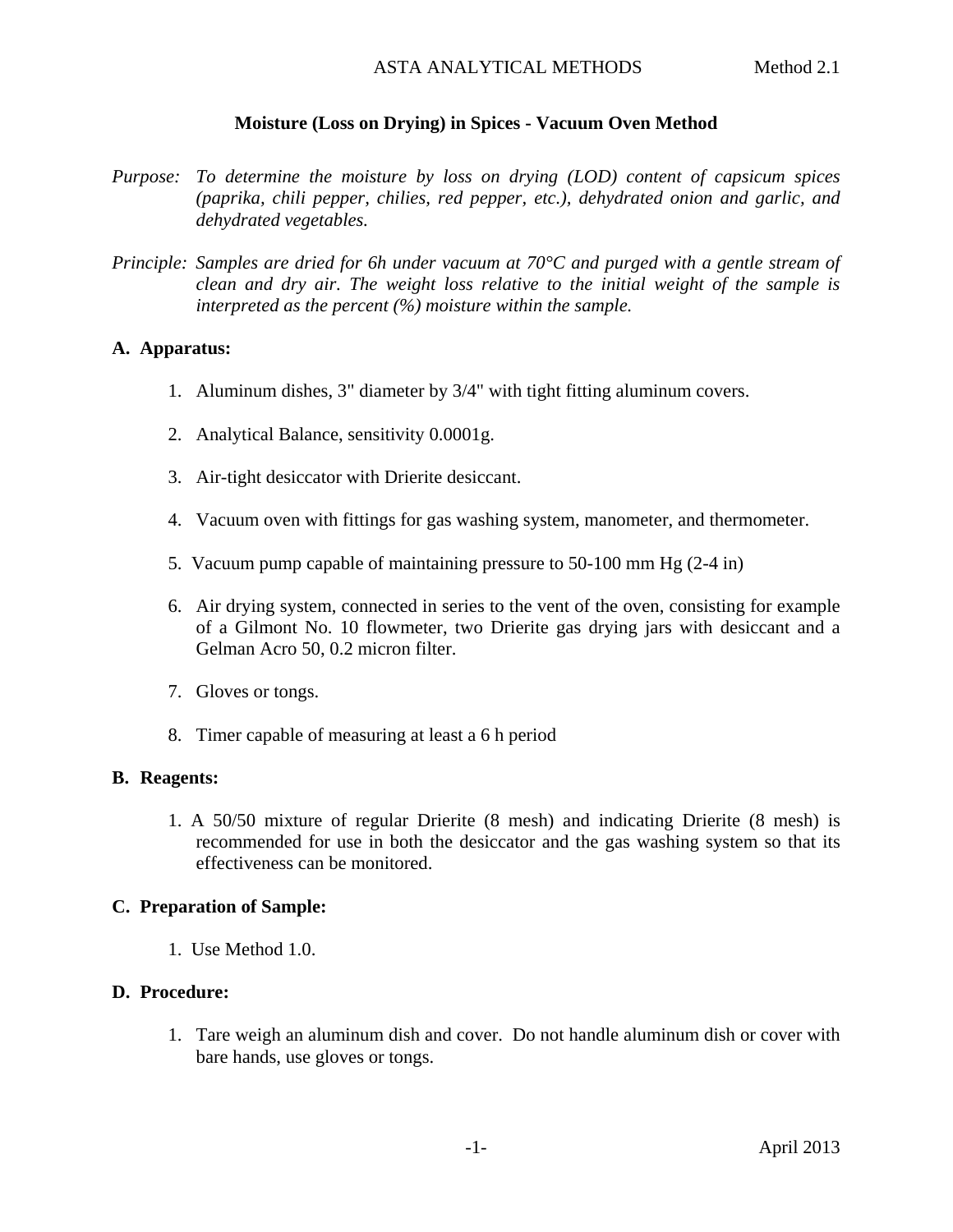## **Moisture (Loss on Drying) in Spices - Vacuum Oven Method**

- *Purpose: To determine the moisture by loss on drying (LOD) content of capsicum spices (paprika, chili pepper, chilies, red pepper, etc.), dehydrated onion and garlic, and dehydrated vegetables.*
- *Principle: Samples are dried for 6h under vacuum at 70°C and purged with a gentle stream of clean and dry air. The weight loss relative to the initial weight of the sample is interpreted as the percent (%) moisture within the sample.*

### **A. Apparatus:**

- 1. Aluminum dishes, 3" diameter by 3/4" with tight fitting aluminum covers.
- 2. Analytical Balance, sensitivity 0.0001g.
- 3. Air-tight desiccator with Drierite desiccant.
- 4. Vacuum oven with fittings for gas washing system, manometer, and thermometer.
- 5. Vacuum pump capable of maintaining pressure to 50-100 mm Hg (2-4 in)
- 6. Air drying system, connected in series to the vent of the oven, consisting for example of a Gilmont No. 10 flowmeter, two Drierite gas drying jars with desiccant and a Gelman Acro 50, 0.2 micron filter.
- 7. Gloves or tongs.
- 8. Timer capable of measuring at least a 6 h period

#### **B. Reagents:**

 1. A 50/50 mixture of regular Drierite (8 mesh) and indicating Drierite (8 mesh) is recommended for use in both the desiccator and the gas washing system so that its effectiveness can be monitored.

### **C. Preparation of Sample:**

1. Use Method 1.0.

## **D. Procedure:**

 1. Tare weigh an aluminum dish and cover. Do not handle aluminum dish or cover with bare hands, use gloves or tongs.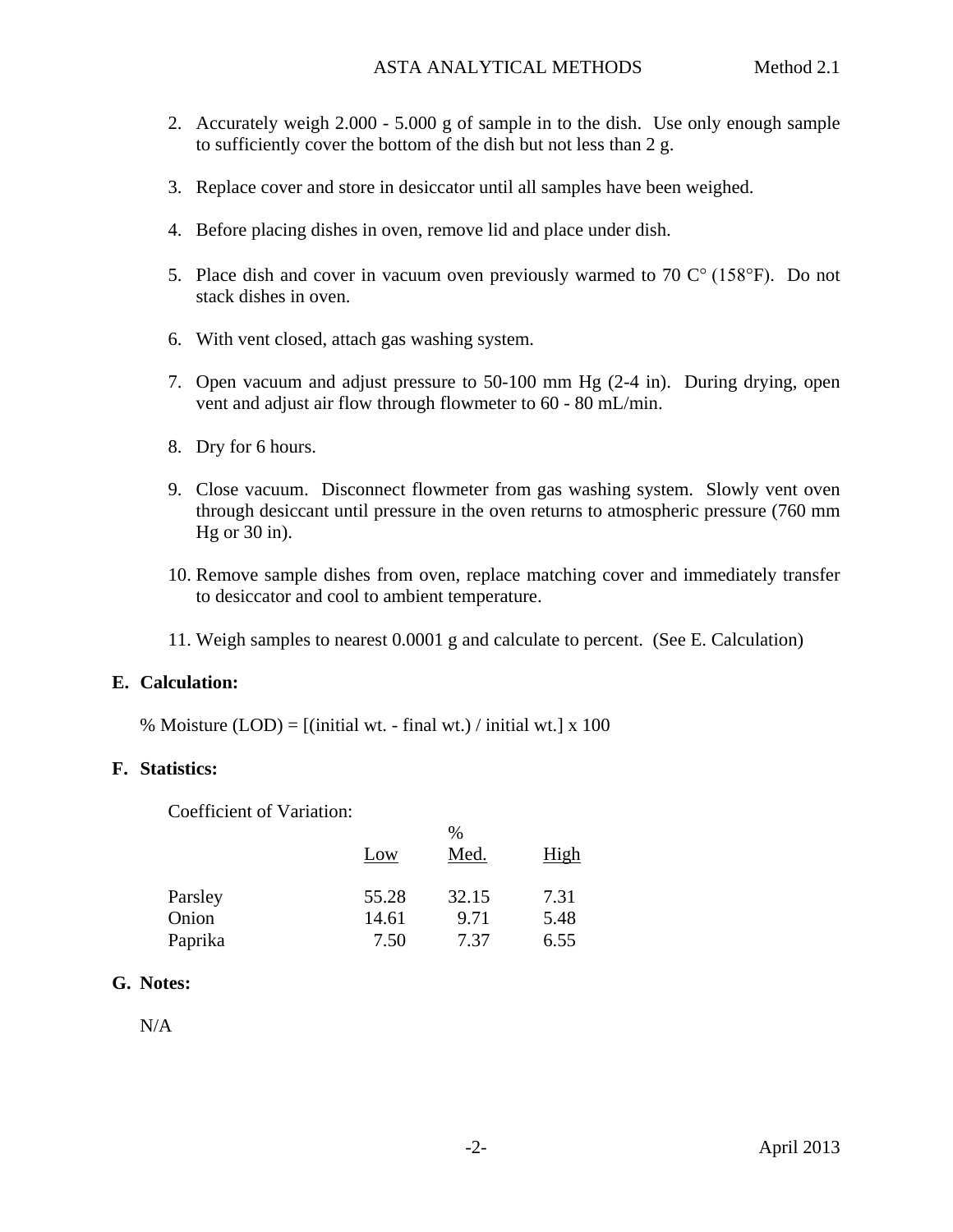- 2. Accurately weigh 2.000 5.000 g of sample in to the dish. Use only enough sample to sufficiently cover the bottom of the dish but not less than 2 g.
- 3. Replace cover and store in desiccator until all samples have been weighed.
- 4. Before placing dishes in oven, remove lid and place under dish.
- 5. Place dish and cover in vacuum oven previously warmed to 70  $C^{\circ}$  (158°F). Do not stack dishes in oven.
- 6. With vent closed, attach gas washing system.
- 7. Open vacuum and adjust pressure to 50-100 mm Hg (2-4 in). During drying, open vent and adjust air flow through flowmeter to 60 - 80 mL/min.
- 8. Dry for 6 hours.
- 9. Close vacuum. Disconnect flowmeter from gas washing system. Slowly vent oven through desiccant until pressure in the oven returns to atmospheric pressure (760 mm Hg or 30 in).
- 10. Remove sample dishes from oven, replace matching cover and immediately transfer to desiccator and cool to ambient temperature.
- 11. Weigh samples to nearest 0.0001 g and calculate to percent. (See E. Calculation)

### **E. Calculation:**

% Moisture  $(LOD) =$  [(initial wt. - final wt.) / initial wt.] x 100

### **F. Statistics:**

Coefficient of Variation:

|         | Low   | Med.  | <u>High</u> |
|---------|-------|-------|-------------|
| Parsley | 55.28 | 32.15 | 7.31        |
| Onion   | 14.61 | 9.71  | 5.48        |
| Paprika | 7.50  | 7.37  | 6.55        |

### **G. Notes:**

N/A